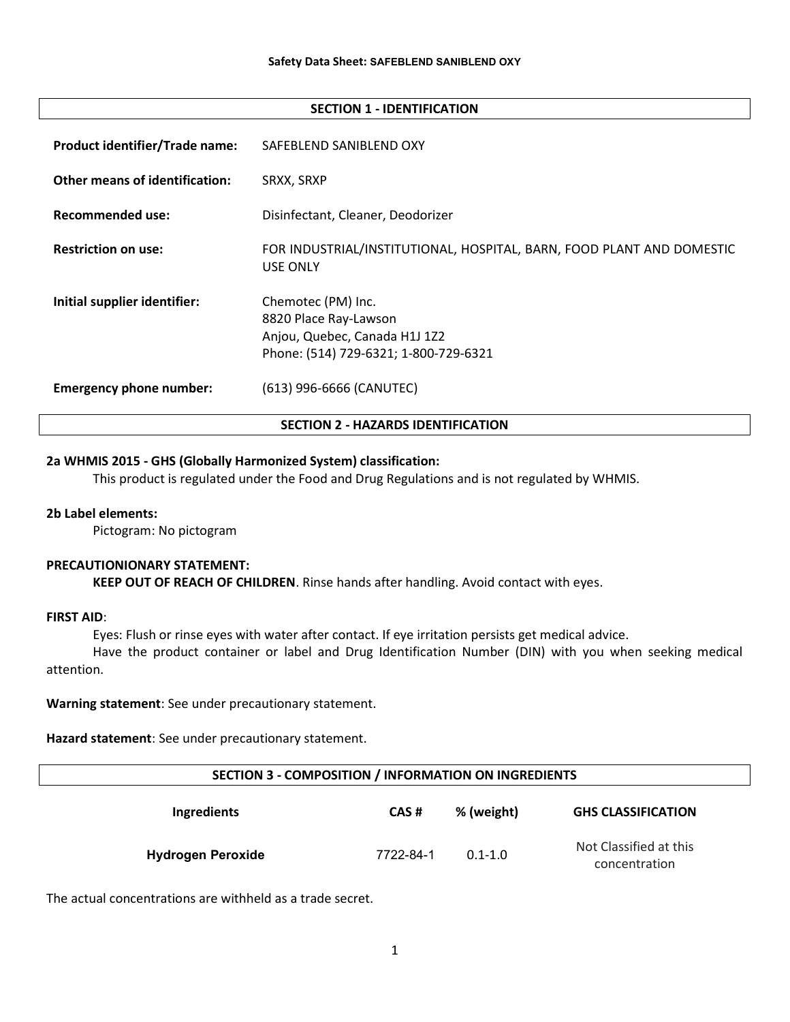#### SECTION 1 - IDENTIFICATION

| <b>Emergency phone number:</b>        | (613) 996-6666 (CANUTEC)                                                                 |
|---------------------------------------|------------------------------------------------------------------------------------------|
|                                       | Phone: (514) 729-6321; 1-800-729-6321                                                    |
|                                       | 8820 Place Ray-Lawson<br>Anjou, Quebec, Canada H1J 1Z2                                   |
| Initial supplier identifier:          | Chemotec (PM) Inc.                                                                       |
| <b>Restriction on use:</b>            | FOR INDUSTRIAL/INSTITUTIONAL, HOSPITAL, BARN, FOOD PLANT AND DOMESTIC<br><b>USE ONLY</b> |
| <b>Recommended use:</b>               | Disinfectant, Cleaner, Deodorizer                                                        |
| <b>Other means of identification:</b> | SRXX, SRXP                                                                               |
| <b>Product identifier/Trade name:</b> | SAFEBLEND SANIBLEND OXY                                                                  |

# 2a WHMIS 2015 - GHS (Globally Harmonized System) classification:

This product is regulated under the Food and Drug Regulations and is not regulated by WHMIS.

### 2b Label elements:

Pictogram: No pictogram

#### PRECAUTIONIONARY STATEMENT:

KEEP OUT OF REACH OF CHILDREN. Rinse hands after handling. Avoid contact with eyes.

### FIRST AID:

Eyes: Flush or rinse eyes with water after contact. If eye irritation persists get medical advice.

Have the product container or label and Drug Identification Number (DIN) with you when seeking medical attention.

Warning statement: See under precautionary statement.

Hazard statement: See under precautionary statement.

| SECTION 3 - COMPOSITION / INFORMATION ON INGREDIENTS |           |             |                                         |
|------------------------------------------------------|-----------|-------------|-----------------------------------------|
| Ingredients                                          | CAS#      | % (weight)  | <b>GHS CLASSIFICATION</b>               |
| <b>Hydrogen Peroxide</b>                             | 7722-84-1 | $0.1 - 1.0$ | Not Classified at this<br>concentration |

The actual concentrations are withheld as a trade secret.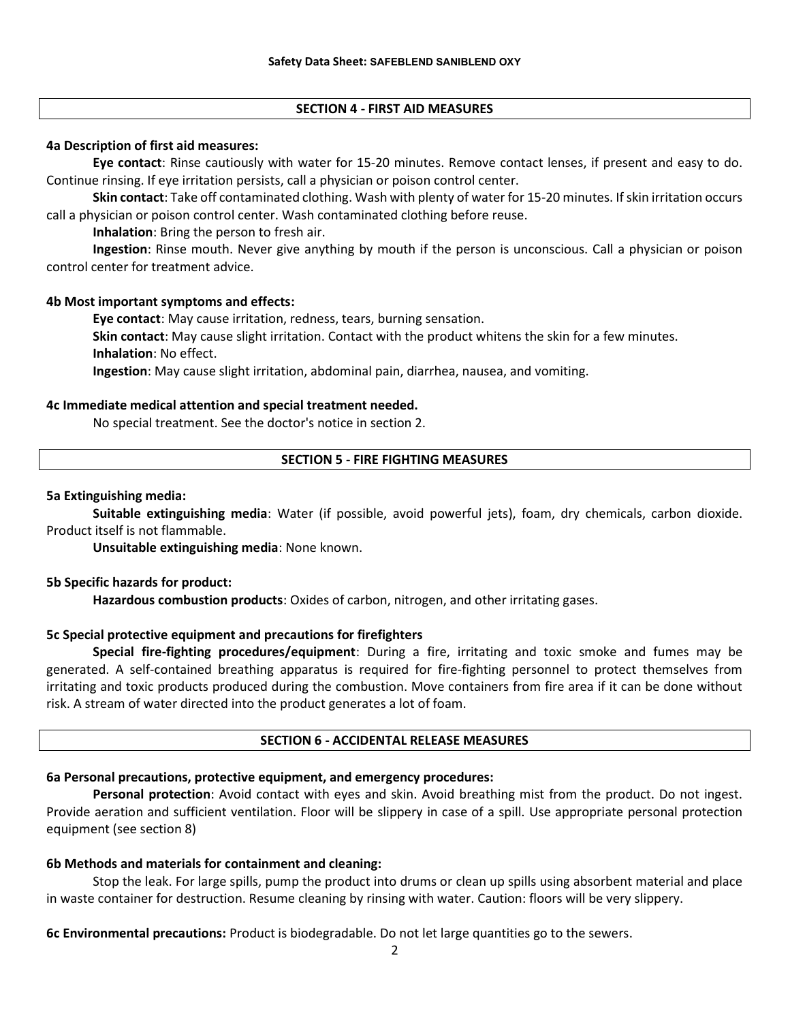# SECTION 4 - FIRST AID MEASURES

## 4a Description of first aid measures:

Eye contact: Rinse cautiously with water for 15-20 minutes. Remove contact lenses, if present and easy to do. Continue rinsing. If eye irritation persists, call a physician or poison control center.

Skin contact: Take off contaminated clothing. Wash with plenty of water for 15-20 minutes. If skin irritation occurs call a physician or poison control center. Wash contaminated clothing before reuse.

Inhalation: Bring the person to fresh air.

Ingestion: Rinse mouth. Never give anything by mouth if the person is unconscious. Call a physician or poison control center for treatment advice.

# 4b Most important symptoms and effects:

Eye contact: May cause irritation, redness, tears, burning sensation.

Skin contact: May cause slight irritation. Contact with the product whitens the skin for a few minutes. Inhalation: No effect.

Ingestion: May cause slight irritation, abdominal pain, diarrhea, nausea, and vomiting.

# 4c Immediate medical attention and special treatment needed.

No special treatment. See the doctor's notice in section 2.

# SECTION 5 - FIRE FIGHTING MEASURES

# 5a Extinguishing media:

Suitable extinguishing media: Water (if possible, avoid powerful jets), foam, dry chemicals, carbon dioxide. Product itself is not flammable.

Unsuitable extinguishing media: None known.

# 5b Specific hazards for product:

Hazardous combustion products: Oxides of carbon, nitrogen, and other irritating gases.

# 5c Special protective equipment and precautions for firefighters

Special fire-fighting procedures/equipment: During a fire, irritating and toxic smoke and fumes may be generated. A self-contained breathing apparatus is required for fire-fighting personnel to protect themselves from irritating and toxic products produced during the combustion. Move containers from fire area if it can be done without risk. A stream of water directed into the product generates a lot of foam.

### SECTION 6 - ACCIDENTAL RELEASE MEASURES

# 6a Personal precautions, protective equipment, and emergency procedures:

Personal protection: Avoid contact with eyes and skin. Avoid breathing mist from the product. Do not ingest. Provide aeration and sufficient ventilation. Floor will be slippery in case of a spill. Use appropriate personal protection equipment (see section 8)

# 6b Methods and materials for containment and cleaning:

Stop the leak. For large spills, pump the product into drums or clean up spills using absorbent material and place in waste container for destruction. Resume cleaning by rinsing with water. Caution: floors will be very slippery.

6c Environmental precautions: Product is biodegradable. Do not let large quantities go to the sewers.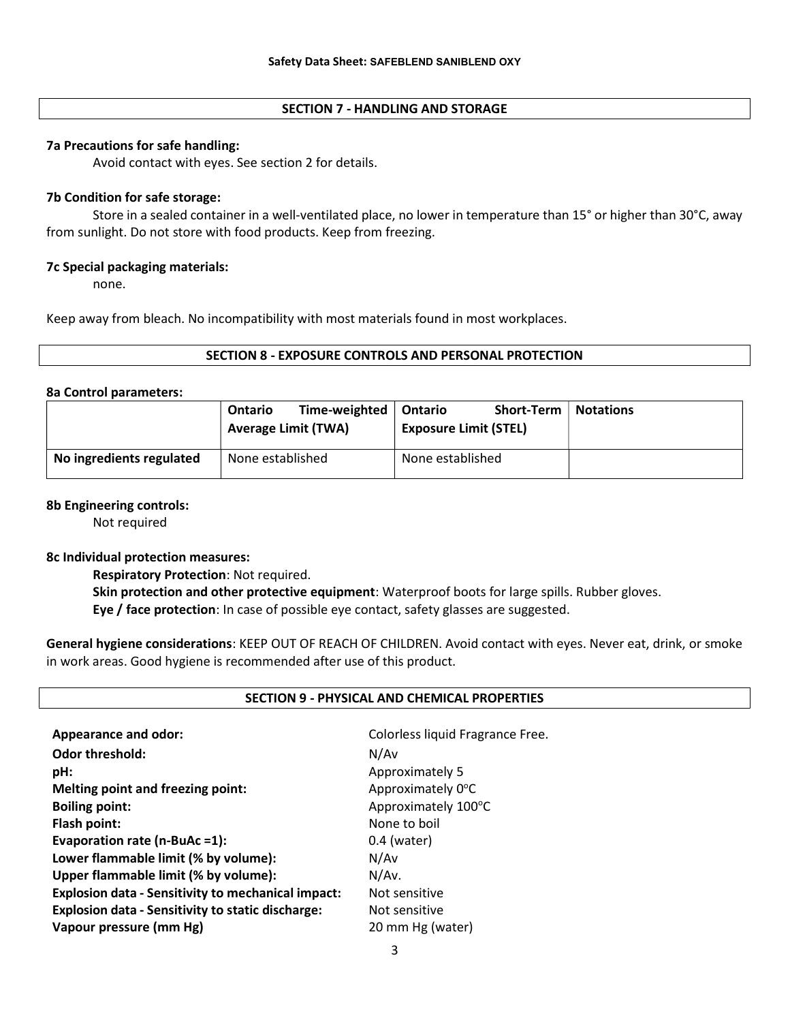# SECTION 7 - HANDLING AND STORAGE

## 7a Precautions for safe handling:

Avoid contact with eyes. See section 2 for details.

## 7b Condition for safe storage:

Store in a sealed container in a well-ventilated place, no lower in temperature than 15° or higher than 30°C, away from sunlight. Do not store with food products. Keep from freezing.

# 7c Special packaging materials:

none.

Keep away from bleach. No incompatibility with most materials found in most workplaces.

# SECTION 8 - EXPOSURE CONTROLS AND PERSONAL PROTECTION

### 8a Control parameters:

|                          | Ontario<br><b>Average Limit (TWA)</b> | Time-weighted | Ontario<br><b>Exposure Limit (STEL)</b> | Short-Term | <b>Notations</b> |
|--------------------------|---------------------------------------|---------------|-----------------------------------------|------------|------------------|
| No ingredients regulated | None established                      |               | None established                        |            |                  |

## 8b Engineering controls:

Not required

### 8c Individual protection measures:

Respiratory Protection: Not required.

Skin protection and other protective equipment: Waterproof boots for large spills. Rubber gloves. Eye / face protection: In case of possible eye contact, safety glasses are suggested.

General hygiene considerations: KEEP OUT OF REACH OF CHILDREN. Avoid contact with eyes. Never eat, drink, or smoke in work areas. Good hygiene is recommended after use of this product.

### SECTION 9 - PHYSICAL AND CHEMICAL PROPERTIES

| <b>Appearance and odor:</b>                               | Colorless liquid Fragrance Free. |
|-----------------------------------------------------------|----------------------------------|
| <b>Odor threshold:</b>                                    | N/Av                             |
| pH:                                                       | Approximately 5                  |
| <b>Melting point and freezing point:</b>                  | Approximately 0°C                |
| <b>Boiling point:</b>                                     | Approximately 100°C              |
| Flash point:                                              | None to boil                     |
| Evaporation rate (n-BuAc =1):                             | $0.4$ (water)                    |
| Lower flammable limit (% by volume):                      | N/Av                             |
| Upper flammable limit (% by volume):                      | N/Av.                            |
| <b>Explosion data - Sensitivity to mechanical impact:</b> | Not sensitive                    |
| <b>Explosion data - Sensitivity to static discharge:</b>  | Not sensitive                    |
| Vapour pressure (mm Hg)                                   | 20 mm Hg (water)                 |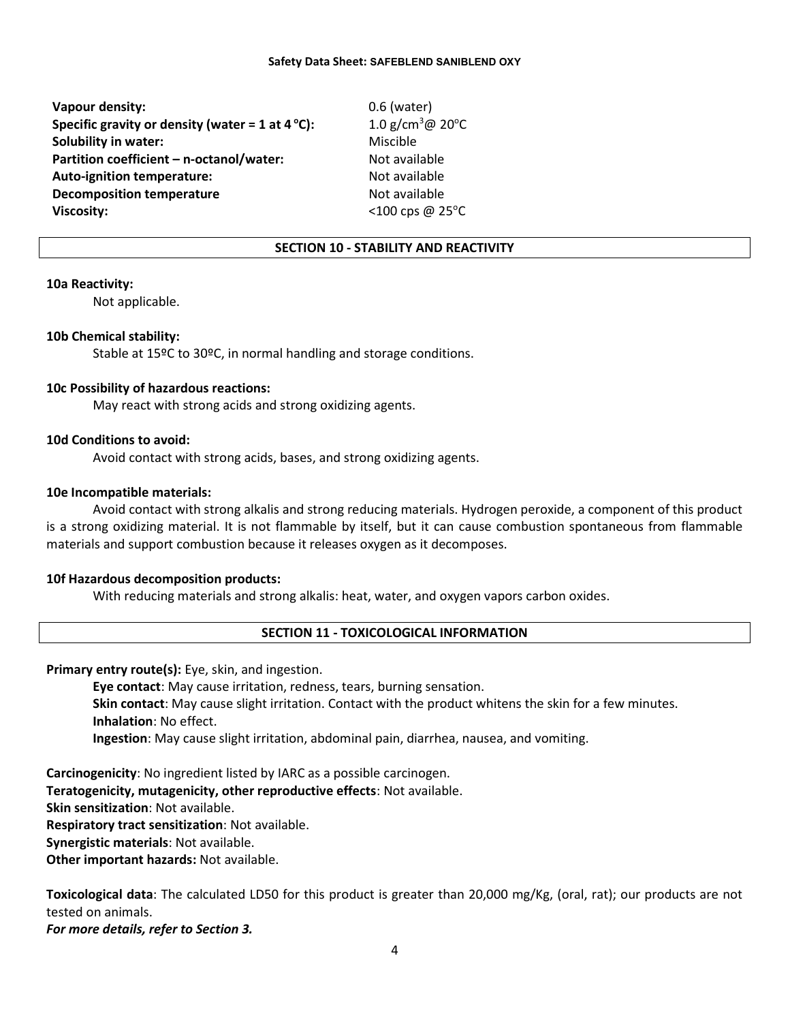#### Safety Data Sheet: SAFEBLEND SANIBLEND OXY

Vapour density:  $0.6$  (water) Specific gravity or density (water = 1 at 4 °C):  $1.0 \text{ g/cm}^3 \textcircled{a} 20^{\circ} \text{C}$ Solubility in water: Miscible Partition coefficient – n-octanol/water: Not available Auto-ignition temperature: Not available **Decomposition temperature** Not available **Viscosity:**  $\leq 100 \text{ cps}$  @ 25 $^{\circ}$ C

### SECTION 10 - STABILITY AND REACTIVITY

### 10a Reactivity:

Not applicable.

### 10b Chemical stability:

Stable at 15ºC to 30ºC, in normal handling and storage conditions.

### 10c Possibility of hazardous reactions:

May react with strong acids and strong oxidizing agents.

### 10d Conditions to avoid:

Avoid contact with strong acids, bases, and strong oxidizing agents.

### 10e Incompatible materials:

Avoid contact with strong alkalis and strong reducing materials. Hydrogen peroxide, a component of this product is a strong oxidizing material. It is not flammable by itself, but it can cause combustion spontaneous from flammable materials and support combustion because it releases oxygen as it decomposes.

### 10f Hazardous decomposition products:

With reducing materials and strong alkalis: heat, water, and oxygen vapors carbon oxides.

## SECTION 11 - TOXICOLOGICAL INFORMATION

Primary entry route(s): Eye, skin, and ingestion.

Eye contact: May cause irritation, redness, tears, burning sensation. Skin contact: May cause slight irritation. Contact with the product whitens the skin for a few minutes. Inhalation: No effect. Ingestion: May cause slight irritation, abdominal pain, diarrhea, nausea, and vomiting.

Carcinogenicity: No ingredient listed by IARC as a possible carcinogen. Teratogenicity, mutagenicity, other reproductive effects: Not available. Skin sensitization: Not available. Respiratory tract sensitization: Not available. Synergistic materials: Not available. Other important hazards: Not available.

Toxicological data: The calculated LD50 for this product is greater than 20,000 mg/Kg, (oral, rat); our products are not tested on animals.

For more details, refer to Section 3.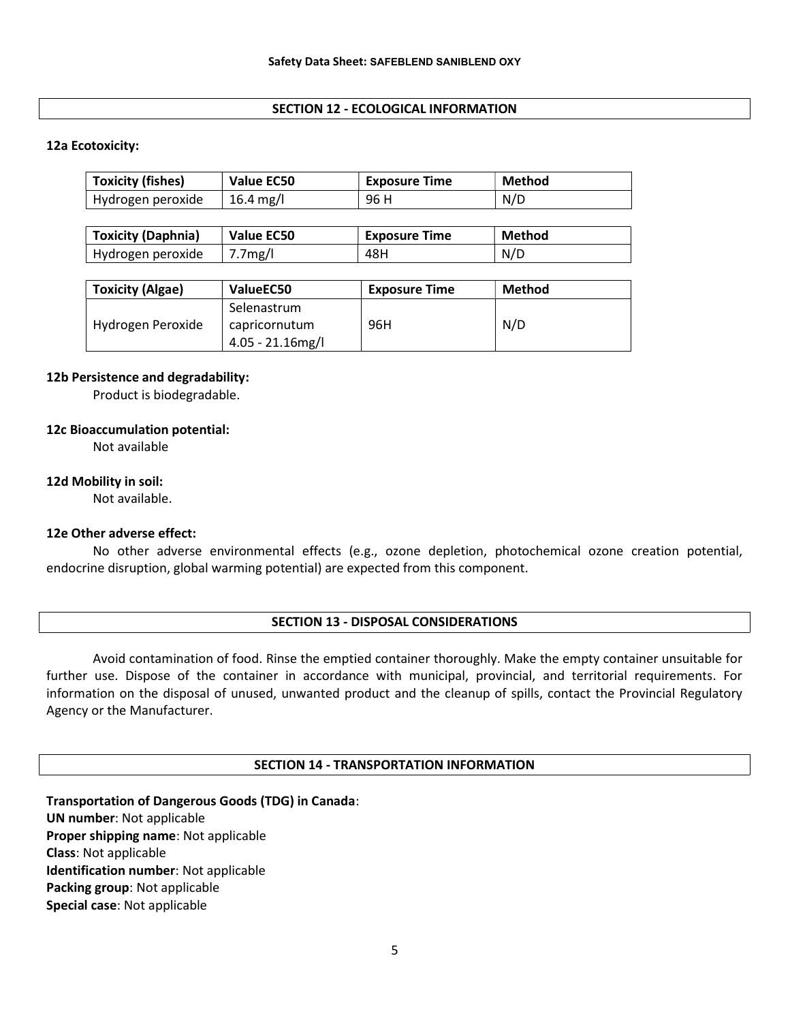# SECTION 12 - ECOLOGICAL INFORMATION

### 12a Ecotoxicity:

| <b>Toxicity (fishes)</b> | Value EC50 | <b>Exposure Time</b> | Method |
|--------------------------|------------|----------------------|--------|
| Hydrogen peroxide        | 16.4 mg/l  | 96 H                 | N/D    |

| <b>Toxicity (Daphnia)</b> | <b>Value EC50</b>    | Exposure Time | <b>Method</b> |
|---------------------------|----------------------|---------------|---------------|
| Hydrogen peroxide         | 7.7 <sub>mg</sub> /l | 48H           | N/D           |

| <b>Toxicity (Algae)</b> | ValueEC50                                           | <b>Exposure Time</b> | Method |
|-------------------------|-----------------------------------------------------|----------------------|--------|
| Hydrogen Peroxide       | Selenastrum<br>capricornutum<br>$4.05 - 21.16$ mg/l | 96H                  | N/D    |

### 12b Persistence and degradability:

Product is biodegradable.

# 12c Bioaccumulation potential:

Not available

# 12d Mobility in soil:

Not available.

# 12e Other adverse effect:

No other adverse environmental effects (e.g., ozone depletion, photochemical ozone creation potential, endocrine disruption, global warming potential) are expected from this component.

### SECTION 13 - DISPOSAL CONSIDERATIONS

Avoid contamination of food. Rinse the emptied container thoroughly. Make the empty container unsuitable for further use. Dispose of the container in accordance with municipal, provincial, and territorial requirements. For information on the disposal of unused, unwanted product and the cleanup of spills, contact the Provincial Regulatory Agency or the Manufacturer.

### SECTION 14 - TRANSPORTATION INFORMATION

Transportation of Dangerous Goods (TDG) in Canada: UN number: Not applicable Proper shipping name: Not applicable Class: Not applicable Identification number: Not applicable Packing group: Not applicable Special case: Not applicable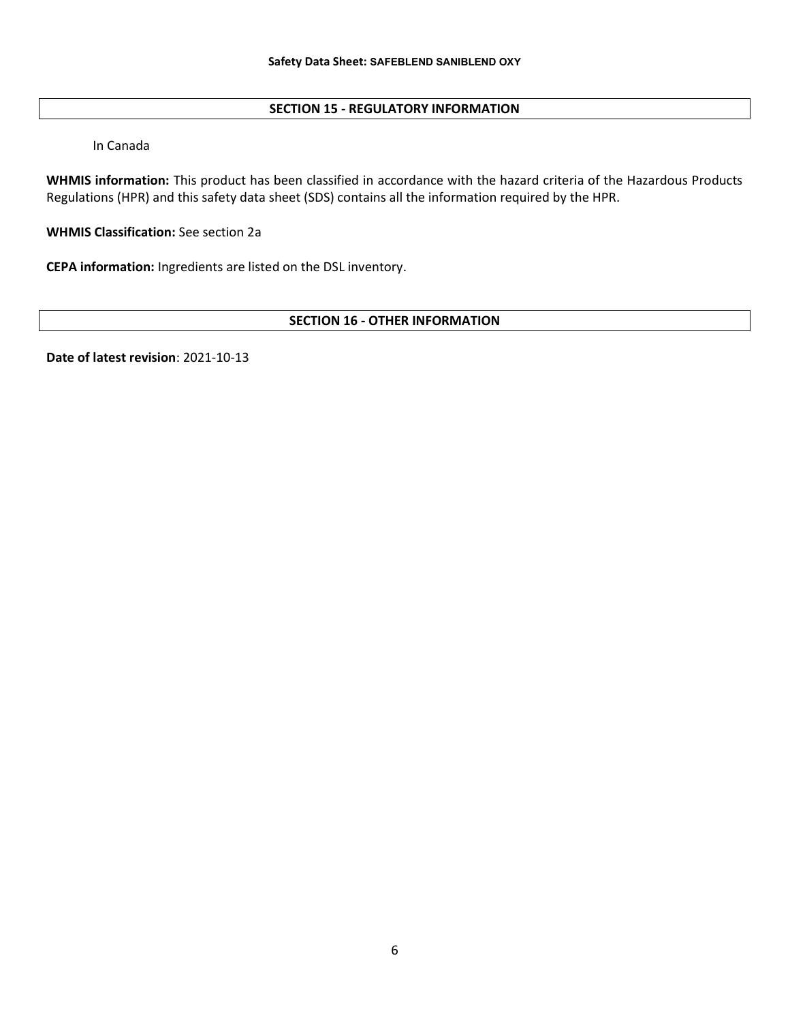# SECTION 15 - REGULATORY INFORMATION

In Canada

WHMIS information: This product has been classified in accordance with the hazard criteria of the Hazardous Products Regulations (HPR) and this safety data sheet (SDS) contains all the information required by the HPR.

WHMIS Classification: See section 2a

CEPA information: Ingredients are listed on the DSL inventory.

# SECTION 16 - OTHER INFORMATION

Date of latest revision: 2021-10-13